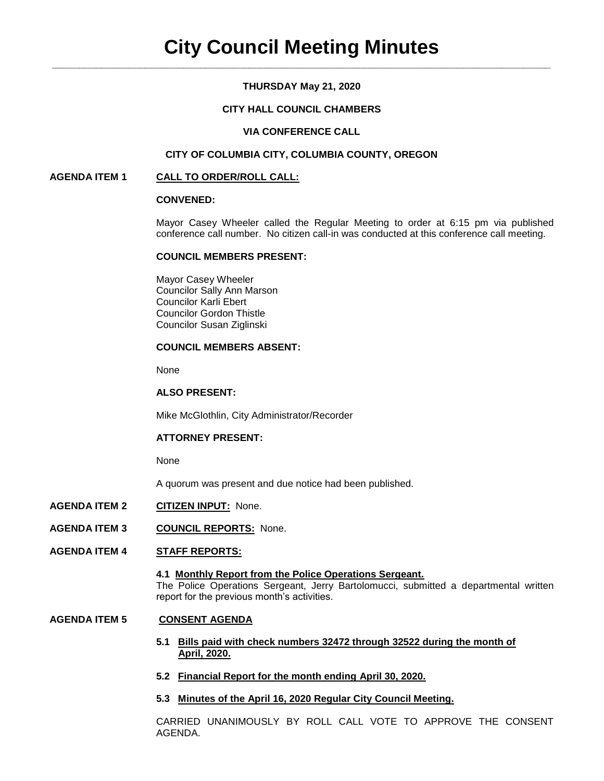## **THURSDAY May 21, 2020**

## **CITY HALL COUNCIL CHAMBERS**

## **VIA CONFERENCE CALL**

## **CITY OF COLUMBIA CITY, COLUMBIA COUNTY, OREGON**

### **AGENDA ITEM 1 CALL TO ORDER/ROLL CALL:**

### **CONVENED:**

Mayor Casey Wheeler called the Regular Meeting to order at 6:15 pm via published conference call number. No citizen call-in was conducted at this conference call meeting.

### **COUNCIL MEMBERS PRESENT:**

Mayor Casey Wheeler Councilor Sally Ann Marson Councilor Karli Ebert Councilor Gordon Thistle Councilor Susan Ziglinski

## **COUNCIL MEMBERS ABSENT:**

None

### **ALSO PRESENT:**

Mike McGlothlin, City Administrator/Recorder

### **ATTORNEY PRESENT:**

#### None

A quorum was present and due notice had been published.

- **AGENDA ITEM 2 CITIZEN INPUT:** None.
- **AGENDA ITEM 3 COUNCIL REPORTS:** None.
- **AGENDA ITEM 4 STAFF REPORTS:**

### **4.1 Monthly Report from the Police Operations Sergeant.** The Police Operations Sergeant, Jerry Bartolomucci, submitted a departmental written report for the previous month's activities.

### **AGENDA ITEM 5 CONSENT AGENDA**

- **5.1 Bills paid with check numbers 32472 through 32522 during the month of April, 2020.**
- **5.2 Financial Report for the month ending April 30, 2020.**
- **5.3 Minutes of the April 16, 2020 Regular City Council Meeting.**

CARRIED UNANIMOUSLY BY ROLL CALL VOTE TO APPROVE THE CONSENT AGENDA.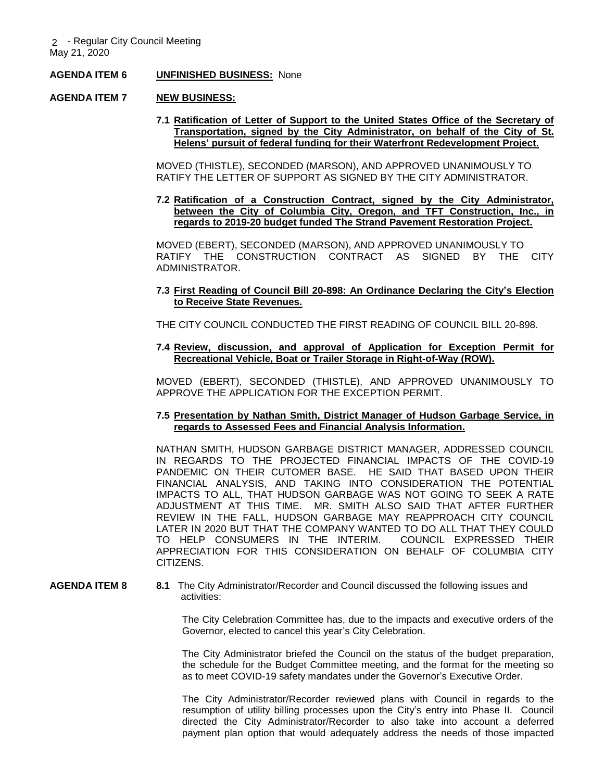### **AGENDA ITEM 6 UNFINISHED BUSINESS:** None

### **AGENDA ITEM 7 NEW BUSINESS:**

**7.1 Ratification of Letter of Support to the United States Office of the Secretary of Transportation, signed by the City Administrator, on behalf of the City of St. Helens' pursuit of federal funding for their Waterfront Redevelopment Project.** 

MOVED (THISTLE), SECONDED (MARSON), AND APPROVED UNANIMOUSLY TO RATIFY THE LETTER OF SUPPORT AS SIGNED BY THE CITY ADMINISTRATOR.

**7.2 Ratification of a Construction Contract, signed by the City Administrator, between the City of Columbia City, Oregon, and TFT Construction, Inc., in regards to 2019-20 budget funded The Strand Pavement Restoration Project.**

MOVED (EBERT), SECONDED (MARSON), AND APPROVED UNANIMOUSLY TO RATIFY THE CONSTRUCTION CONTRACT AS SIGNED BY THE CITY ADMINISTRATOR.

### **7.3 First Reading of Council Bill 20-898: An Ordinance Declaring the City's Election to Receive State Revenues.**

THE CITY COUNCIL CONDUCTED THE FIRST READING OF COUNCIL BILL 20-898.

### **7.4 Review, discussion, and approval of Application for Exception Permit for Recreational Vehicle, Boat or Trailer Storage in Right-of-Way (ROW).**

MOVED (EBERT), SECONDED (THISTLE), AND APPROVED UNANIMOUSLY TO APPROVE THE APPLICATION FOR THE EXCEPTION PERMIT.

### **7.5 Presentation by Nathan Smith, District Manager of Hudson Garbage Service, in regards to Assessed Fees and Financial Analysis Information.**

NATHAN SMITH, HUDSON GARBAGE DISTRICT MANAGER, ADDRESSED COUNCIL IN REGARDS TO THE PROJECTED FINANCIAL IMPACTS OF THE COVID-19 PANDEMIC ON THEIR CUTOMER BASE. HE SAID THAT BASED UPON THEIR FINANCIAL ANALYSIS, AND TAKING INTO CONSIDERATION THE POTENTIAL IMPACTS TO ALL, THAT HUDSON GARBAGE WAS NOT GOING TO SEEK A RATE ADJUSTMENT AT THIS TIME. MR. SMITH ALSO SAID THAT AFTER FURTHER REVIEW IN THE FALL, HUDSON GARBAGE MAY REAPPROACH CITY COUNCIL LATER IN 2020 BUT THAT THE COMPANY WANTED TO DO ALL THAT THEY COULD TO HELP CONSUMERS IN THE INTERIM. COUNCIL EXPRESSED THEIR APPRECIATION FOR THIS CONSIDERATION ON BEHALF OF COLUMBIA CITY CITIZENS.

**AGENDA ITEM 8 8.1** The City Administrator/Recorder and Council discussed the following issues and activities:

> The City Celebration Committee has, due to the impacts and executive orders of the Governor, elected to cancel this year's City Celebration.

> The City Administrator briefed the Council on the status of the budget preparation, the schedule for the Budget Committee meeting, and the format for the meeting so as to meet COVID-19 safety mandates under the Governor's Executive Order.

> The City Administrator/Recorder reviewed plans with Council in regards to the resumption of utility billing processes upon the City's entry into Phase II. Council directed the City Administrator/Recorder to also take into account a deferred payment plan option that would adequately address the needs of those impacted